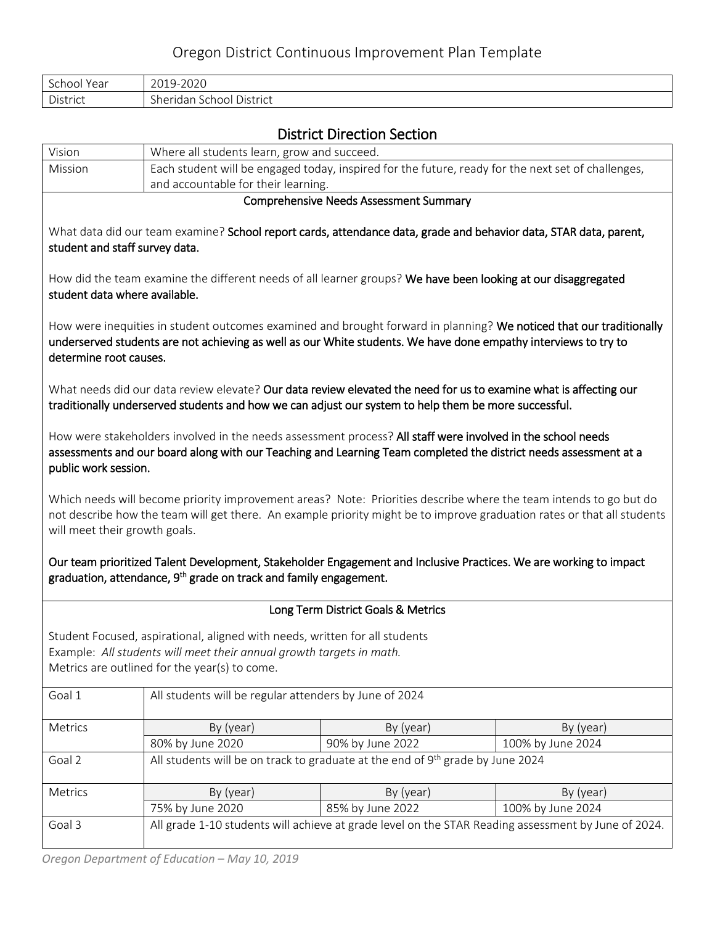# Oregon District Continuous Improvement Plan Template

| $\sim$<br>Year<br>∵choo∟ | -2020<br>$\bigcap$ $\bigcap$ 1<br>$Q_{-}$                                  |
|--------------------------|----------------------------------------------------------------------------|
| District                 | $\sim$ 1<br>Jistrict<br>$h \wedge r \wedge d \wedge r$<br>chool<br>. iudi: |

# District Direction Section

|                                                                                                                                                                                                      |                                                                                                    | DISTRICT DILECTION SECTION                                                                                                                                                                                                                   |                   |  |  |  |
|------------------------------------------------------------------------------------------------------------------------------------------------------------------------------------------------------|----------------------------------------------------------------------------------------------------|----------------------------------------------------------------------------------------------------------------------------------------------------------------------------------------------------------------------------------------------|-------------------|--|--|--|
| Vision                                                                                                                                                                                               | Where all students learn, grow and succeed.                                                        |                                                                                                                                                                                                                                              |                   |  |  |  |
| Mission                                                                                                                                                                                              | Each student will be engaged today, inspired for the future, ready for the next set of challenges, |                                                                                                                                                                                                                                              |                   |  |  |  |
|                                                                                                                                                                                                      | and accountable for their learning.                                                                |                                                                                                                                                                                                                                              |                   |  |  |  |
|                                                                                                                                                                                                      |                                                                                                    | <b>Comprehensive Needs Assessment Summary</b>                                                                                                                                                                                                |                   |  |  |  |
| student and staff survey data.                                                                                                                                                                       |                                                                                                    | What data did our team examine? School report cards, attendance data, grade and behavior data, STAR data, parent,                                                                                                                            |                   |  |  |  |
| student data where available.                                                                                                                                                                        |                                                                                                    | How did the team examine the different needs of all learner groups? We have been looking at our disaggregated                                                                                                                                |                   |  |  |  |
| determine root causes.                                                                                                                                                                               |                                                                                                    | How were inequities in student outcomes examined and brought forward in planning? We noticed that our traditionally<br>underserved students are not achieving as well as our White students. We have done empathy interviews to try to       |                   |  |  |  |
|                                                                                                                                                                                                      |                                                                                                    | What needs did our data review elevate? Our data review elevated the need for us to examine what is affecting our<br>traditionally underserved students and how we can adjust our system to help them be more successful.                    |                   |  |  |  |
| public work session.                                                                                                                                                                                 |                                                                                                    | How were stakeholders involved in the needs assessment process? All staff were involved in the school needs<br>assessments and our board along with our Teaching and Learning Team completed the district needs assessment at a              |                   |  |  |  |
| will meet their growth goals.                                                                                                                                                                        |                                                                                                    | Which needs will become priority improvement areas? Note: Priorities describe where the team intends to go but do<br>not describe how the team will get there. An example priority might be to improve graduation rates or that all students |                   |  |  |  |
|                                                                                                                                                                                                      | graduation, attendance, 9 <sup>th</sup> grade on track and family engagement.                      | Our team prioritized Talent Development, Stakeholder Engagement and Inclusive Practices. We are working to impact                                                                                                                            |                   |  |  |  |
|                                                                                                                                                                                                      | Long Term District Goals & Metrics                                                                 |                                                                                                                                                                                                                                              |                   |  |  |  |
| Student Focused, aspirational, aligned with needs, written for all students<br>Example: All students will meet their annual growth targets in math.<br>Metrics are outlined for the year(s) to come. |                                                                                                    |                                                                                                                                                                                                                                              |                   |  |  |  |
| Goal 1                                                                                                                                                                                               | All students will be regular attenders by June of 2024                                             |                                                                                                                                                                                                                                              |                   |  |  |  |
| Metrics                                                                                                                                                                                              | By (year)                                                                                          | By (year)                                                                                                                                                                                                                                    | By (year)         |  |  |  |
|                                                                                                                                                                                                      | 80% by June 2020                                                                                   | 90% by June 2022                                                                                                                                                                                                                             | 100% by June 2024 |  |  |  |
| Goal 2                                                                                                                                                                                               |                                                                                                    | All students will be on track to graduate at the end of 9 <sup>th</sup> grade by June 2024                                                                                                                                                   |                   |  |  |  |
| Metrics                                                                                                                                                                                              | By (year)                                                                                          | By (year)                                                                                                                                                                                                                                    | By (year)         |  |  |  |
|                                                                                                                                                                                                      | 75% by June 2020                                                                                   | 85% by June 2022                                                                                                                                                                                                                             | 100% by June 2024 |  |  |  |
| Goal 3                                                                                                                                                                                               |                                                                                                    | All grade 1-10 students will achieve at grade level on the STAR Reading assessment by June of 2024.                                                                                                                                          |                   |  |  |  |
|                                                                                                                                                                                                      |                                                                                                    |                                                                                                                                                                                                                                              |                   |  |  |  |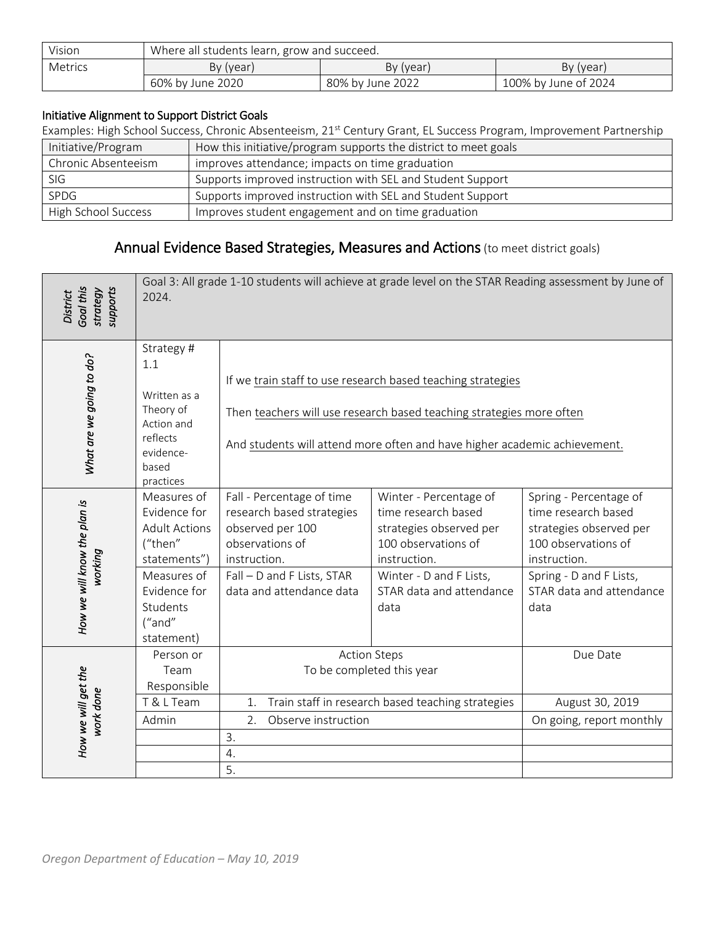| Vision  | Where all students learn, grow and succeed. |                  |                      |  |  |  |
|---------|---------------------------------------------|------------------|----------------------|--|--|--|
| Metrics | By (year)<br>By (year)<br>By (year)         |                  |                      |  |  |  |
|         | 60% by June 2020                            | 80% by June 2022 | 100% by June of 2024 |  |  |  |

#### Initiative Alignment to Support District Goals

Examples: High School Success, Chronic Absenteeism, 21st Century Grant, EL Success Program, Improvement Partnership

| Initiative/Program         | How this initiative/program supports the district to meet goals |
|----------------------------|-----------------------------------------------------------------|
| Chronic Absenteeism        | improves attendance; impacts on time graduation                 |
| SIG                        | Supports improved instruction with SEL and Student Support      |
| SPDG                       | Supports improved instruction with SEL and Student Support      |
| <b>High School Success</b> | Improves student engagement and on time graduation              |

# Annual Evidence Based Strategies, Measures and Actions (to meet district goals)

| Goal this<br>supports<br>strategy<br><b>District</b> | Goal 3: All grade 1-10 students will achieve at grade level on the STAR Reading assessment by June of<br>2024.                                    |                                                                                                                                                                         |                                                                                                                                                                                                                  |                                                                                                                                                                                |  |
|------------------------------------------------------|---------------------------------------------------------------------------------------------------------------------------------------------------|-------------------------------------------------------------------------------------------------------------------------------------------------------------------------|------------------------------------------------------------------------------------------------------------------------------------------------------------------------------------------------------------------|--------------------------------------------------------------------------------------------------------------------------------------------------------------------------------|--|
| What are we going to do?                             | Strategy #<br>1.1<br>Written as a<br>Theory of<br>Action and<br>reflects<br>evidence-<br>based<br>practices                                       |                                                                                                                                                                         | If we train staff to use research based teaching strategies<br>Then teachers will use research based teaching strategies more often<br>And students will attend more often and have higher academic achievement. |                                                                                                                                                                                |  |
| How we will know the plan is<br>working              | Measures of<br>Evidence for<br><b>Adult Actions</b><br>("then"<br>statements")<br>Measures of<br>Evidence for<br>Students<br>("and"<br>statement) | Fall - Percentage of time<br>research based strategies<br>observed per 100<br>observations of<br>instruction.<br>Fall - D and F Lists, STAR<br>data and attendance data | Winter - Percentage of<br>time research based<br>strategies observed per<br>100 observations of<br>instruction.<br>Winter - D and F Lists,<br>STAR data and attendance<br>data                                   | Spring - Percentage of<br>time research based<br>strategies observed per<br>100 observations of<br>instruction.<br>Spring - D and F Lists,<br>STAR data and attendance<br>data |  |
| How we will get the<br>work done                     | Person or<br>Team<br>Responsible<br>T & L Team<br>Admin                                                                                           | 1.<br>Observe instruction<br>2.<br>3.<br>4.<br>5.                                                                                                                       | <b>Action Steps</b><br>To be completed this year<br>Train staff in research based teaching strategies                                                                                                            | Due Date<br>August 30, 2019<br>On going, report monthly                                                                                                                        |  |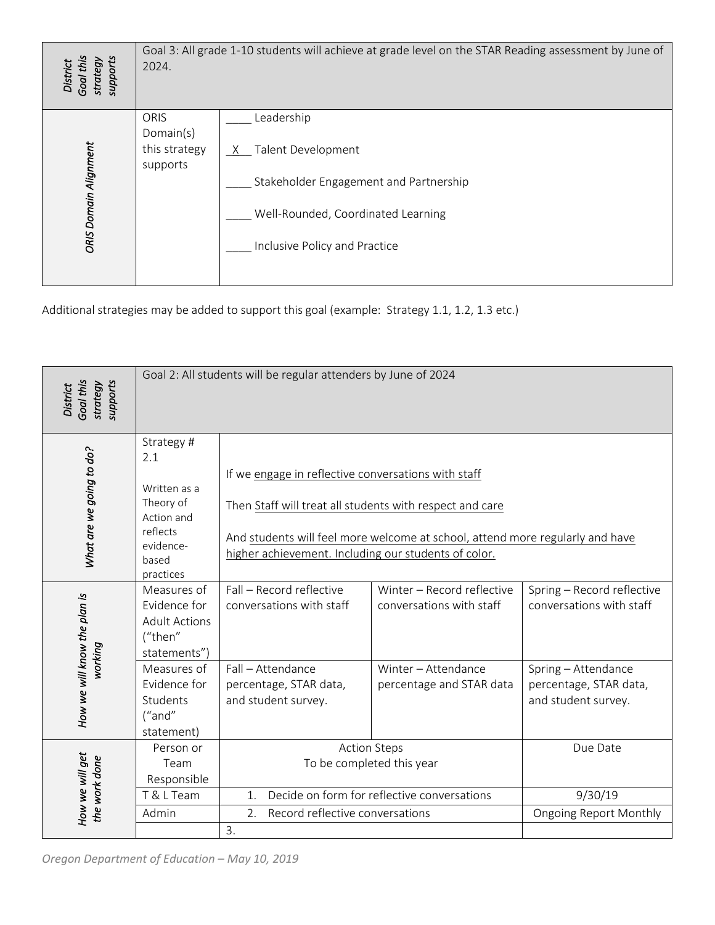| Goal this<br>supports<br>strategy<br>District | Goal 3: All grade 1-10 students will achieve at grade level on the STAR Reading assessment by June of<br>2024. |                                                                                                                                                   |  |  |
|-----------------------------------------------|----------------------------------------------------------------------------------------------------------------|---------------------------------------------------------------------------------------------------------------------------------------------------|--|--|
| ORIS Domain Alignment                         | ORIS<br>Domain(s)<br>this strategy<br>supports                                                                 | Leadership<br>Talent Development<br>Stakeholder Engagement and Partnership<br>Well-Rounded, Coordinated Learning<br>Inclusive Policy and Practice |  |  |

| Goal this<br>supports<br>strategy<br>District        | add I Io staachts will achieve at graac level on the STAR Reading<br>2024.                                  |                                                                                                                                                                                                                                                          |                                                        |                                                                      |  |
|------------------------------------------------------|-------------------------------------------------------------------------------------------------------------|----------------------------------------------------------------------------------------------------------------------------------------------------------------------------------------------------------------------------------------------------------|--------------------------------------------------------|----------------------------------------------------------------------|--|
| ORIS Domain Alignment                                | ORIS<br>Domain(s)<br>this strategy<br>supports                                                              | Leadership<br>X Talent Development<br>Stakeholder Engagement and Partnership<br>Well-Rounded, Coordinated Learning<br>Inclusive Policy and Practice<br>Additional strategies may be added to support this goal (example: Strategy 1.1, 1.2, 1.3 etc.)    |                                                        |                                                                      |  |
| Goal this<br>supports<br>strategy<br><b>District</b> | Goal 2: All students will be regular attenders by June of 2024                                              |                                                                                                                                                                                                                                                          |                                                        |                                                                      |  |
| What are we going to do?                             | Strategy #<br>2.1<br>Written as a<br>Theory of<br>Action and<br>reflects<br>evidence-<br>based<br>practices | If we engage in reflective conversations with staff<br>Then Staff will treat all students with respect and care<br>And students will feel more welcome at school, attend more regularly and have<br>higher achievement. Including our students of color. |                                                        |                                                                      |  |
| How we will know the plan is<br>working              | Measures of<br>Evidence for<br><b>Adult Actions</b><br>("then"<br>statements")                              | Fall - Record reflective<br>conversations with staff                                                                                                                                                                                                     | Winter - Record reflective<br>conversations with staff | Spring - Record reflective<br>conversations with staff               |  |
|                                                      | Measures of<br>Evidence for<br>Students<br>("and"<br>statement)                                             | Fall - Attendance<br>Winter - Attendance<br>percentage, STAR data,<br>percentage and STAR data<br>and student survey.                                                                                                                                    |                                                        | Spring - Attendance<br>percentage, STAR data,<br>and student survey. |  |
| How we will get<br>the work done                     | Person or<br>Team<br>Responsible<br>T & L Team                                                              | <b>Action Steps</b><br>To be completed this year<br>Decide on form for reflective conversations                                                                                                                                                          |                                                        | Due Date<br>9/30/19                                                  |  |
|                                                      | Admin                                                                                                       | 1.<br>Record reflective conversations<br>2.<br>3.                                                                                                                                                                                                        |                                                        | <b>Ongoing Report Monthly</b>                                        |  |
| Oregon Department of Education - May 10, 2019        |                                                                                                             |                                                                                                                                                                                                                                                          |                                                        |                                                                      |  |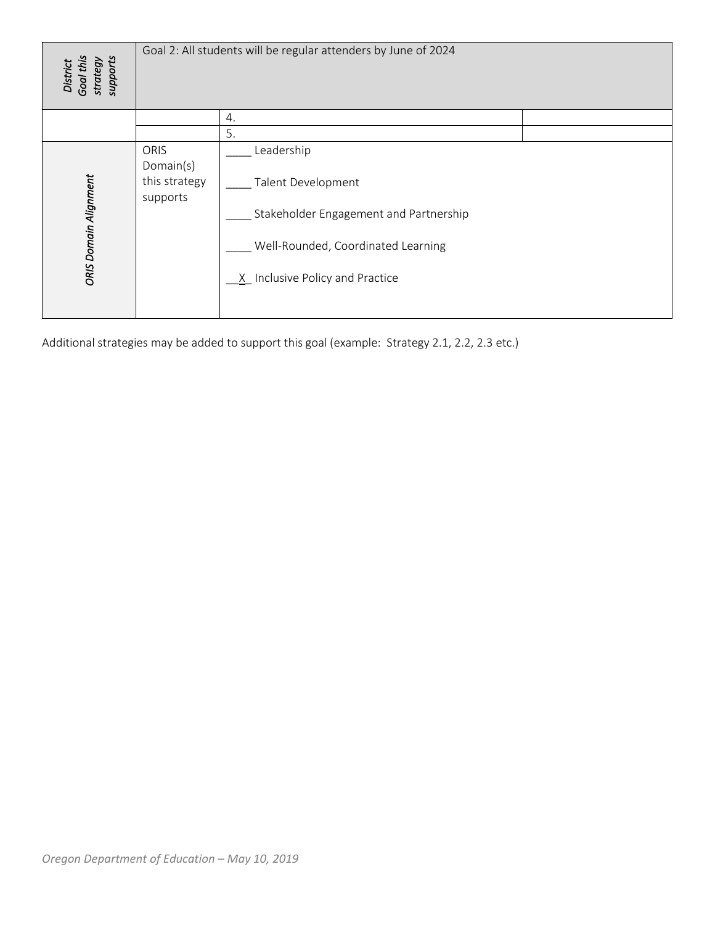| District<br>Goal this<br>strategy<br>supports                                                                                                                                                                                  |
|--------------------------------------------------------------------------------------------------------------------------------------------------------------------------------------------------------------------------------|
| 4.                                                                                                                                                                                                                             |
| 5.                                                                                                                                                                                                                             |
| Leadership<br>ORIS<br>Domain(s)<br>ORIS Domain Alignment<br>this strategy<br>Talent Development<br>supports<br>Stakeholder Engagement and Partnership<br>Well-Rounded, Coordinated Learning<br>X Inclusive Policy and Practice |
| Additional strategies may be added to support this goal (example: Strategy 2.1, 2.2, 2.3 etc.)                                                                                                                                 |
|                                                                                                                                                                                                                                |
|                                                                                                                                                                                                                                |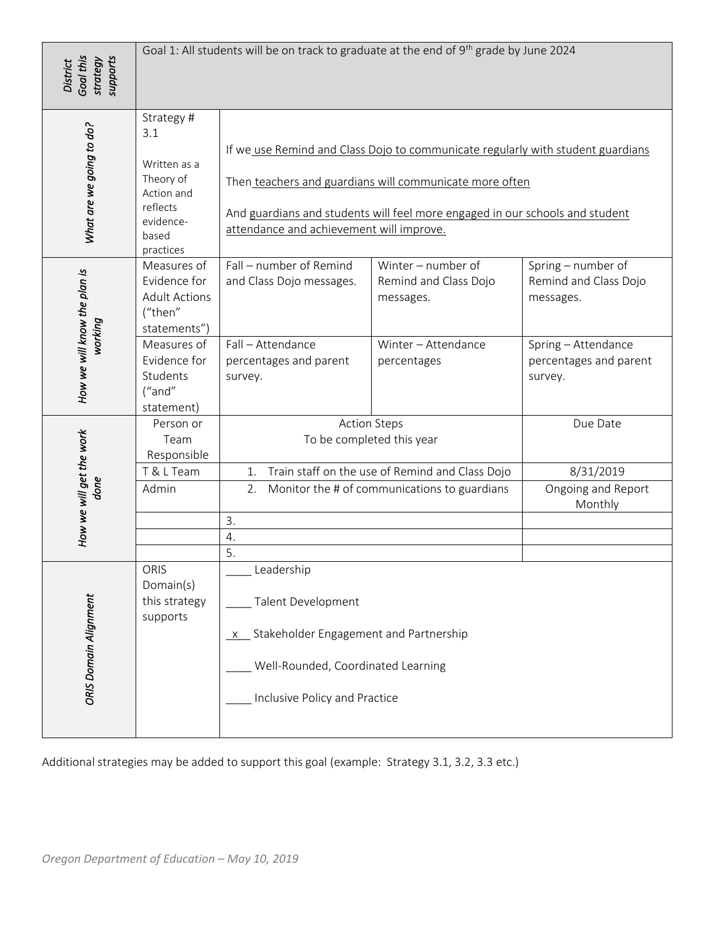| Goal this<br>supports<br>strategy<br><b>District</b> | Goal 1: All students will be on track to graduate at the end of 9 <sup>th</sup> grade by June 2024          |                                                                                                                                                                                                                                                                        |                                                                                                |                                                          |  |
|------------------------------------------------------|-------------------------------------------------------------------------------------------------------------|------------------------------------------------------------------------------------------------------------------------------------------------------------------------------------------------------------------------------------------------------------------------|------------------------------------------------------------------------------------------------|----------------------------------------------------------|--|
| What are we going to do?                             | Strategy #<br>3.1<br>Written as a<br>Theory of<br>Action and<br>reflects<br>evidence-<br>based<br>practices | If we use Remind and Class Dojo to communicate regularly with student guardians<br>Then teachers and guardians will communicate more often<br>And guardians and students will feel more engaged in our schools and student<br>attendance and achievement will improve. |                                                                                                |                                                          |  |
| How we will know the plan is<br>working              | Measures of<br>Evidence for<br><b>Adult Actions</b><br>("then"<br>statements")                              | Fall - number of Remind<br>and Class Dojo messages.                                                                                                                                                                                                                    | Winter - number of<br>Remind and Class Dojo<br>messages.                                       | Spring - number of<br>Remind and Class Dojo<br>messages. |  |
|                                                      | Measures of<br>Evidence for<br>Students<br>("and"<br>statement)                                             | Fall - Attendance<br>percentages and parent<br>survey.                                                                                                                                                                                                                 | Winter - Attendance<br>percentages                                                             | Spring - Attendance<br>percentages and parent<br>survey. |  |
|                                                      | Person or<br>Team<br>Responsible                                                                            |                                                                                                                                                                                                                                                                        | <b>Action Steps</b><br>To be completed this year                                               | Due Date                                                 |  |
| How we will get the work<br>done                     | T & L Team<br>Admin                                                                                         | Train staff on the use of Remind and Class Dojo<br>1.<br>2. Monitor the # of communications to guardians<br>3.                                                                                                                                                         |                                                                                                | 8/31/2019<br>Ongoing and Report<br>Monthly               |  |
| ORIS Domain Alignment                                | ORIS<br>Domain(s)<br>this strategy<br>supports                                                              | 4.<br>5.<br>Leadership<br>Talent Development<br>x Stakeholder Engagement and Partnership<br>Well-Rounded, Coordinated Learning<br>Inclusive Policy and Practice                                                                                                        |                                                                                                |                                                          |  |
| Oregon Department of Education - May 10, 2019        |                                                                                                             |                                                                                                                                                                                                                                                                        | Additional strategies may be added to support this goal (example: Strategy 3.1, 3.2, 3.3 etc.) |                                                          |  |